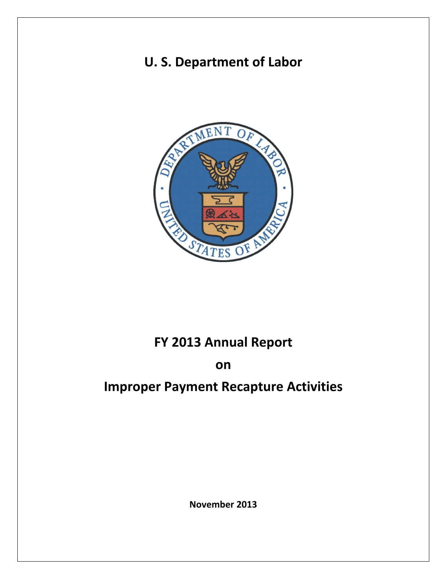# **U. S. Department of Labor**



# **FY 2013 Annual Report**

## **on**

# **Improper Payment Recapture Activities**

**November 2013**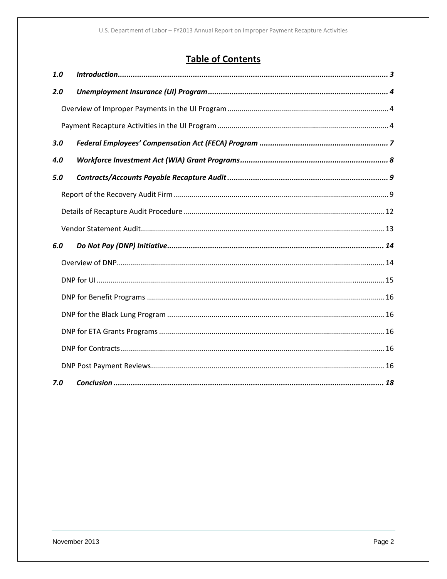## **Table of Contents**

| 1.0 |  |
|-----|--|
| 2.0 |  |
|     |  |
|     |  |
| 3.0 |  |
| 4.0 |  |
| 5.0 |  |
|     |  |
|     |  |
|     |  |
| 6.0 |  |
|     |  |
|     |  |
|     |  |
|     |  |
|     |  |
|     |  |
|     |  |
| 7.0 |  |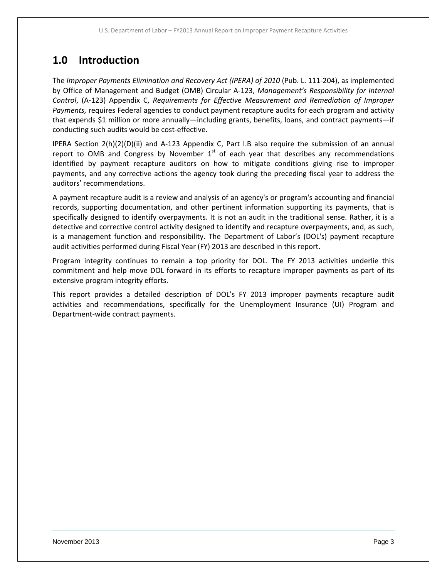## **1.0 Introduction**

The *Improper Payments Elimination and Recovery Act (IPERA) of 2010* (Pub. L. 111‐204), as implemented by Office of Management and Budget (OMB) Circular A‐123, *Management's Responsibility for Internal Control*, (A‐123) Appendix C, *Requirements for Effective Measurement and Remediation of Improper Payments,* requires Federal agencies to conduct payment recapture audits for each program and activity that expends \$1 million or more annually—including grants, benefits, loans, and contract payments—if conducting such audits would be cost‐effective.

IPERA Section 2(h)(2)(D)(ii) and A‐123 Appendix C, Part I.B also require the submission of an annual report to OMB and Congress by November  $1<sup>st</sup>$  of each year that describes any recommendations identified by payment recapture auditors on how to mitigate conditions giving rise to improper payments, and any corrective actions the agency took during the preceding fiscal year to address the auditors' recommendations.

A payment recapture audit is a review and analysis of an agency's or program's accounting and financial records, supporting documentation, and other pertinent information supporting its payments, that is specifically designed to identify overpayments. It is not an audit in the traditional sense. Rather, it is a detective and corrective control activity designed to identify and recapture overpayments, and, as such, is a management function and responsibility. The Department of Labor's (DOL's) payment recapture audit activities performed during Fiscal Year (FY) 2013 are described in this report.

Program integrity continues to remain a top priority for DOL. The FY 2013 activities underlie this commitment and help move DOL forward in its efforts to recapture improper payments as part of its extensive program integrity efforts.

This report provides a detailed description of DOL's FY 2013 improper payments recapture audit activities and recommendations, specifically for the Unemployment Insurance (UI) Program and Department‐wide contract payments.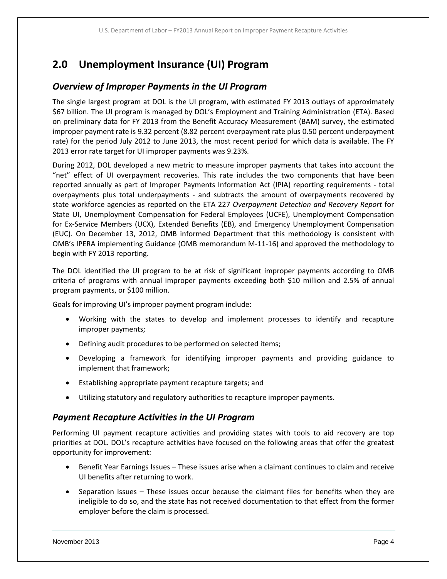## **2.0 Unemployment Insurance (UI) Program**

### *Overview of Improper Payments in the UI Program*

The single largest program at DOL is the UI program, with estimated FY 2013 outlays of approximately \$67 billion. The UI program is managed by DOL's Employment and Training Administration (ETA). Based on preliminary data for FY 2013 from the Benefit Accuracy Measurement (BAM) survey, the estimated improper payment rate is 9.32 percent (8.82 percent overpayment rate plus 0.50 percent underpayment rate) for the period July 2012 to June 2013, the most recent period for which data is available. The FY 2013 error rate target for UI improper payments was 9.23%.

During 2012, DOL developed a new metric to measure improper payments that takes into account the "net" effect of UI overpayment recoveries. This rate includes the two components that have been reported annually as part of Improper Payments Information Act (IPIA) reporting requirements ‐ total overpayments plus total underpayments ‐ and subtracts the amount of overpayments recovered by state workforce agencies as reported on the ETA 227 *Overpayment Detection and Recovery Report* for State UI, Unemployment Compensation for Federal Employees (UCFE), Unemployment Compensation for Ex‐Service Members (UCX), Extended Benefits (EB), and Emergency Unemployment Compensation (EUC). On December 13, 2012, OMB informed Department that this methodology is consistent with OMB's IPERA implementing Guidance (OMB memorandum M‐11‐16) and approved the methodology to begin with FY 2013 reporting.

The DOL identified the UI program to be at risk of significant improper payments according to OMB criteria of programs with annual improper payments exceeding both \$10 million and 2.5% of annual program payments, or \$100 million.

Goals for improving UI's improper payment program include:

- Working with the states to develop and implement processes to identify and recapture improper payments;
- Defining audit procedures to be performed on selected items;
- Developing a framework for identifying improper payments and providing guidance to implement that framework;
- Establishing appropriate payment recapture targets; and
- Utilizing statutory and regulatory authorities to recapture improper payments.

### *Payment Recapture Activities in the UI Program*

Performing UI payment recapture activities and providing states with tools to aid recovery are top priorities at DOL. DOL's recapture activities have focused on the following areas that offer the greatest opportunity for improvement:

- Benefit Year Earnings Issues These issues arise when a claimant continues to claim and receive UI benefits after returning to work.
- Separation Issues These issues occur because the claimant files for benefits when they are ineligible to do so, and the state has not received documentation to that effect from the former employer before the claim is processed.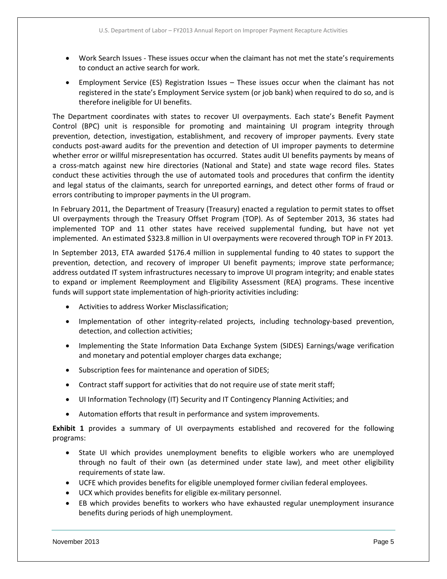- Work Search Issues These issues occur when the claimant has not met the state's requirements to conduct an active search for work.
- Employment Service (ES) Registration Issues These issues occur when the claimant has not registered in the state's Employment Service system (or job bank) when required to do so, and is therefore ineligible for UI benefits.

The Department coordinates with states to recover UI overpayments. Each state's Benefit Payment Control (BPC) unit is responsible for promoting and maintaining UI program integrity through prevention, detection, investigation, establishment, and recovery of improper payments. Every state conducts post‐award audits for the prevention and detection of UI improper payments to determine whether error or willful misrepresentation has occurred. States audit UI benefits payments by means of a cross‐match against new hire directories (National and State) and state wage record files. States conduct these activities through the use of automated tools and procedures that confirm the identity and legal status of the claimants, search for unreported earnings, and detect other forms of fraud or errors contributing to improper payments in the UI program.

In February 2011, the Department of Treasury (Treasury) enacted a regulation to permit states to offset UI overpayments through the Treasury Offset Program (TOP). As of September 2013, 36 states had implemented TOP and 11 other states have received supplemental funding, but have not yet implemented. An estimated \$323.8 million in UI overpayments were recovered through TOP in FY 2013.

In September 2013, ETA awarded \$176.4 million in supplemental funding to 40 states to support the prevention, detection, and recovery of improper UI benefit payments; improve state performance; address outdated IT system infrastructures necessary to improve UI program integrity; and enable states to expand or implement Reemployment and Eligibility Assessment (REA) programs. These incentive funds will support state implementation of high-priority activities including:

- Activities to address Worker Misclassification;
- Implementation of other integrity-related projects, including technology-based prevention, detection, and collection activities;
- Implementing the State Information Data Exchange System (SIDES) Earnings/wage verification and monetary and potential employer charges data exchange;
- Subscription fees for maintenance and operation of SIDES;
- Contract staff support for activities that do not require use of state merit staff;
- UI Information Technology (IT) Security and IT Contingency Planning Activities; and
- Automation efforts that result in performance and system improvements.

**Exhibit 1** provides a summary of UI overpayments established and recovered for the following programs:

- State UI which provides unemployment benefits to eligible workers who are unemployed through no fault of their own (as determined under state law), and meet other eligibility requirements of state law.
- UCFE which provides benefits for eligible unemployed former civilian federal employees.
- UCX which provides benefits for eligible ex-military personnel.
- EB which provides benefits to workers who have exhausted regular unemployment insurance benefits during periods of high unemployment.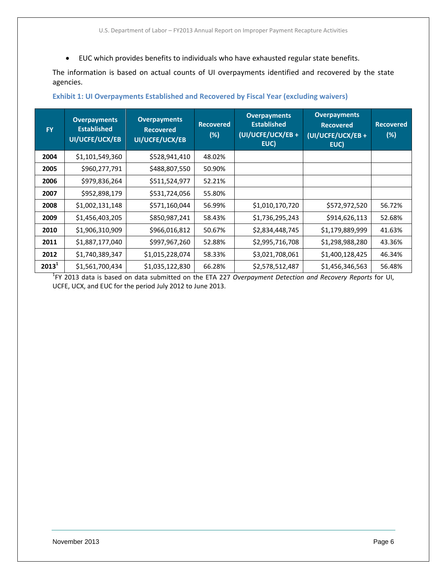EUC which provides benefits to individuals who have exhausted regular state benefits.

The information is based on actual counts of UI overpayments identified and recovered by the state agencies.

| <b>FY</b> | <b>Overpayments</b><br><b>Established</b><br>UI/UCFE/UCX/EB | <b>Overpayments</b><br><b>Recovered</b><br>UI/UCFE/UCX/EB | <b>Recovered</b><br>(%) | <b>Overpayments</b><br><b>Established</b><br>(UI/UCFE/UCX/EB+<br>EUC) | <b>Overpayments</b><br><b>Recovered</b><br>(UI/UCFE/UCX/EB +<br>EUC) | <b>Recovered</b><br>(%) |
|-----------|-------------------------------------------------------------|-----------------------------------------------------------|-------------------------|-----------------------------------------------------------------------|----------------------------------------------------------------------|-------------------------|
| 2004      | \$1,101,549,360                                             | \$528,941,410                                             | 48.02%                  |                                                                       |                                                                      |                         |
| 2005      | \$960,277,791                                               | \$488,807,550                                             | 50.90%                  |                                                                       |                                                                      |                         |
| 2006      | \$979,836,264                                               | \$511,524,977                                             | 52.21%                  |                                                                       |                                                                      |                         |
| 2007      | \$952,898,179                                               | \$531,724,056                                             | 55.80%                  |                                                                       |                                                                      |                         |
| 2008      | \$1,002,131,148                                             | \$571,160,044                                             | 56.99%                  | \$1,010,170,720                                                       | \$572,972,520                                                        | 56.72%                  |
| 2009      | \$1,456,403,205                                             | \$850,987,241                                             | 58.43%                  | \$1,736,295,243                                                       | \$914,626,113                                                        | 52.68%                  |
| 2010      | \$1,906,310,909                                             | \$966,016,812                                             | 50.67%                  | \$2,834,448,745                                                       | \$1,179,889,999                                                      | 41.63%                  |
| 2011      | \$1,887,177,040                                             | \$997,967,260                                             | 52.88%                  | \$2,995,716,708                                                       | \$1,298,988,280                                                      | 43.36%                  |
| 2012      | \$1,740,389,347                                             | \$1,015,228,074                                           | 58.33%                  | \$3,021,708,061                                                       | \$1,400,128,425                                                      | 46.34%                  |
| $2013^1$  | \$1,561,700,434                                             | \$1,035,122,830                                           | 66.28%                  | \$2,578,512,487                                                       | \$1,456,346,563                                                      | 56.48%                  |

#### **Exhibit 1: UI Overpayments Established and Recovered by Fiscal Year (excluding waivers)**

1 FY 2013 data is based on data submitted on the ETA 227 *Overpayment Detection and Recovery Reports* for UI, UCFE, UCX, and EUC for the period July 2012 to June 2013.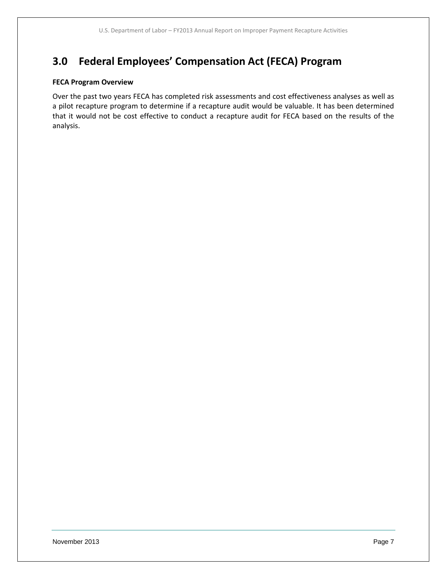## **3.0 Federal Employees' Compensation Act (FECA) Program**

#### **FECA Program Overview**

Over the past two years FECA has completed risk assessments and cost effectiveness analyses as well as a pilot recapture program to determine if a recapture audit would be valuable. It has been determined that it would not be cost effective to conduct a recapture audit for FECA based on the results of the analysis.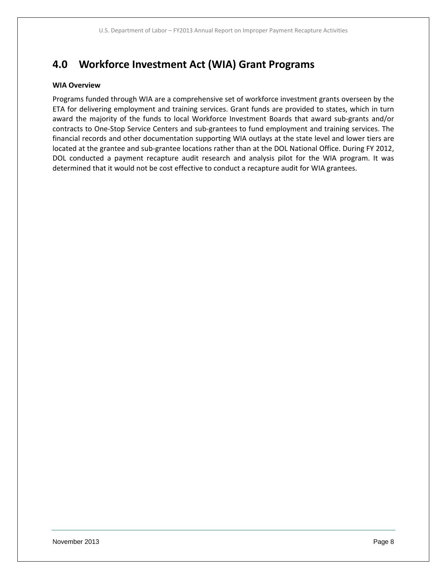## **4.0 Workforce Investment Act (WIA) Grant Programs**

#### **WIA Overview**

Programs funded through WIA are a comprehensive set of workforce investment grants overseen by the ETA for delivering employment and training services. Grant funds are provided to states, which in turn award the majority of the funds to local Workforce Investment Boards that award sub‐grants and/or contracts to One‐Stop Service Centers and sub‐grantees to fund employment and training services. The financial records and other documentation supporting WIA outlays at the state level and lower tiers are located at the grantee and sub-grantee locations rather than at the DOL National Office. During FY 2012, DOL conducted a payment recapture audit research and analysis pilot for the WIA program. It was determined that it would not be cost effective to conduct a recapture audit for WIA grantees.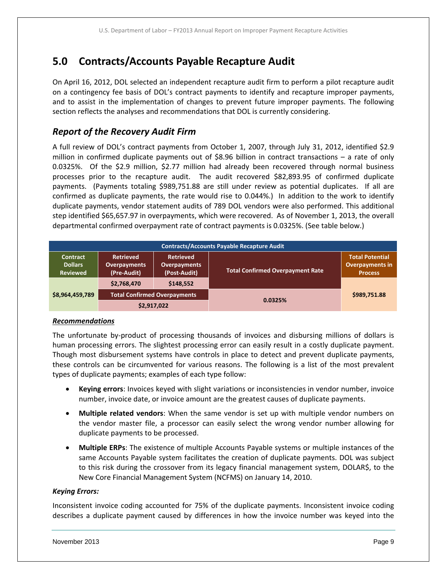## **5.0 Contracts/Accounts Payable Recapture Audit**

On April 16, 2012, DOL selected an independent recapture audit firm to perform a pilot recapture audit on a contingency fee basis of DOL's contract payments to identify and recapture improper payments, and to assist in the implementation of changes to prevent future improper payments. The following section reflects the analyses and recommendations that DOL is currently considering.

## *Report of the Recovery Audit Firm*

A full review of DOL's contract payments from October 1, 2007, through July 31, 2012, identified \$2.9 million in confirmed duplicate payments out of \$8.96 billion in contract transactions – a rate of only 0.0325%. Of the \$2.9 million, \$2.77 million had already been recovered through normal business processes prior to the recapture audit. The audit recovered \$82,893.95 of confirmed duplicate payments. (Payments totaling \$989,751.88 are still under review as potential duplicates. If all are confirmed as duplicate payments, the rate would rise to 0.044%.) In addition to the work to identify duplicate payments, vendor statement audits of 789 DOL vendors were also performed. This additional step identified \$65,657.97 in overpayments, which were recovered. As of November 1, 2013, the overall departmental confirmed overpayment rate of contract payments is 0.0325%. (See table below.)

| <b>Contracts/Accounts Payable Recapture Audit</b>    |                                                        |                                                         |                                         |                                                                    |
|------------------------------------------------------|--------------------------------------------------------|---------------------------------------------------------|-----------------------------------------|--------------------------------------------------------------------|
| <b>Contract</b><br><b>Dollars</b><br><b>Reviewed</b> | <b>Retrieved</b><br><b>Overpayments</b><br>(Pre-Audit) | <b>Retrieved</b><br><b>Overpayments</b><br>(Post-Audit) | <b>Total Confirmed Overpayment Rate</b> | <b>Total Potential</b><br><b>Overpayments in</b><br><b>Process</b> |
|                                                      | \$2,768,470                                            | \$148,552                                               |                                         |                                                                    |
| \$8,964,459,789                                      | <b>Total Confirmed Overpayments</b>                    |                                                         | 0.0325%                                 | \$989,751.88                                                       |
|                                                      | \$2,917,022                                            |                                                         |                                         |                                                                    |

#### *Recommendations*

The unfortunate by‐product of processing thousands of invoices and disbursing millions of dollars is human processing errors. The slightest processing error can easily result in a costly duplicate payment. Though most disbursement systems have controls in place to detect and prevent duplicate payments, these controls can be circumvented for various reasons. The following is a list of the most prevalent types of duplicate payments; examples of each type follow:

- **Keying errors**: Invoices keyed with slight variations or inconsistencies in vendor number, invoice number, invoice date, or invoice amount are the greatest causes of duplicate payments.
- **Multiple related vendors**: When the same vendor is set up with multiple vendor numbers on the vendor master file, a processor can easily select the wrong vendor number allowing for duplicate payments to be processed.
- **Multiple ERPs**: The existence of multiple Accounts Payable systems or multiple instances of the same Accounts Payable system facilitates the creation of duplicate payments. DOL was subject to this risk during the crossover from its legacy financial management system, DOLAR\$, to the New Core Financial Management System (NCFMS) on January 14, 2010.

#### *Keying Errors:*

Inconsistent invoice coding accounted for 75% of the duplicate payments. Inconsistent invoice coding describes a duplicate payment caused by differences in how the invoice number was keyed into the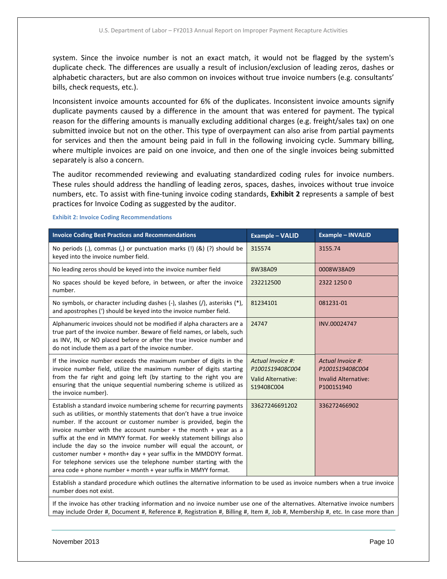system. Since the invoice number is not an exact match, it would not be flagged by the system's duplicate check. The differences are usually a result of inclusion/exclusion of leading zeros, dashes or alphabetic characters, but are also common on invoices without true invoice numbers (e.g. consultants' bills, check requests, etc.).

Inconsistent invoice amounts accounted for 6% of the duplicates. Inconsistent invoice amounts signify duplicate payments caused by a difference in the amount that was entered for payment. The typical reason for the differing amounts is manually excluding additional charges (e.g. freight/sales tax) on one submitted invoice but not on the other. This type of overpayment can also arise from partial payments for services and then the amount being paid in full in the following invoicing cycle. Summary billing, where multiple invoices are paid on one invoice, and then one of the single invoices being submitted separately is also a concern.

The auditor recommended reviewing and evaluating standardized coding rules for invoice numbers. These rules should address the handling of leading zeros, spaces, dashes, invoices without true invoice numbers, etc. To assist with fine‐tuning invoice coding standards, **Exhibit 2** represents a sample of best practices for Invoice Coding as suggested by the auditor.

| <b>Invoice Coding Best Practices and Recommendations</b>                                                                                                                                                                                                                                                                                                                                                                                                                                                                                                                                                                                         | <b>Example - VALID</b>                                                          | <b>Example - INVALID</b>                                                          |
|--------------------------------------------------------------------------------------------------------------------------------------------------------------------------------------------------------------------------------------------------------------------------------------------------------------------------------------------------------------------------------------------------------------------------------------------------------------------------------------------------------------------------------------------------------------------------------------------------------------------------------------------------|---------------------------------------------------------------------------------|-----------------------------------------------------------------------------------|
| No periods (.), commas (,) or punctuation marks (!) $(8)$ (?) should be<br>keyed into the invoice number field.                                                                                                                                                                                                                                                                                                                                                                                                                                                                                                                                  | 315574                                                                          | 3155.74                                                                           |
| No leading zeros should be keyed into the invoice number field                                                                                                                                                                                                                                                                                                                                                                                                                                                                                                                                                                                   | 8W38A09                                                                         | 0008W38A09                                                                        |
| No spaces should be keyed before, in between, or after the invoice<br>number.                                                                                                                                                                                                                                                                                                                                                                                                                                                                                                                                                                    | 232212500                                                                       | 2322 1250 0                                                                       |
| No symbols, or character including dashes (-), slashes (/), asterisks (*),<br>and apostrophes (') should be keyed into the invoice number field.                                                                                                                                                                                                                                                                                                                                                                                                                                                                                                 | 81234101                                                                        | 081231-01                                                                         |
| Alphanumeric invoices should not be modified if alpha characters are a<br>true part of the invoice number. Beware of field names, or labels, such<br>as INV, IN, or NO placed before or after the true invoice number and<br>do not include them as a part of the invoice number.                                                                                                                                                                                                                                                                                                                                                                | 24747                                                                           | INV.00024747                                                                      |
| If the invoice number exceeds the maximum number of digits in the<br>invoice number field, utilize the maximum number of digits starting<br>from the far right and going left (by starting to the right you are<br>ensuring that the unique sequential numbering scheme is utilized as<br>the invoice number).                                                                                                                                                                                                                                                                                                                                   | Actual Invoice #:<br>P1001S19408C004<br><b>Valid Alternative:</b><br>S19408C004 | Actual Invoice #:<br>P1001S19408C004<br><b>Invalid Alternative:</b><br>P1001S1940 |
| Establish a standard invoice numbering scheme for recurring payments<br>such as utilities, or monthly statements that don't have a true invoice<br>number. If the account or customer number is provided, begin the<br>invoice number with the account number $+$ the month $+$ year as a<br>suffix at the end in MMYY format. For weekly statement billings also<br>include the day so the invoice number will equal the account, or<br>customer number + month+ day + year suffix in the MMDDYY format.<br>For telephone services use the telephone number starting with the<br>area code + phone number + month + year suffix in MMYY format. | 33627246691202                                                                  | 336272466902                                                                      |

**Exhibit 2: Invoice Coding Recommendations**

Establish a standard procedure which outlines the alternative information to be used as invoice numbers when a true invoice number does not exist.

If the invoice has other tracking information and no invoice number use one of the alternatives. Alternative invoice numbers may include Order #, Document #, Reference #, Registration #, Billing #, Item #, Job #, Membership #, etc. In case more than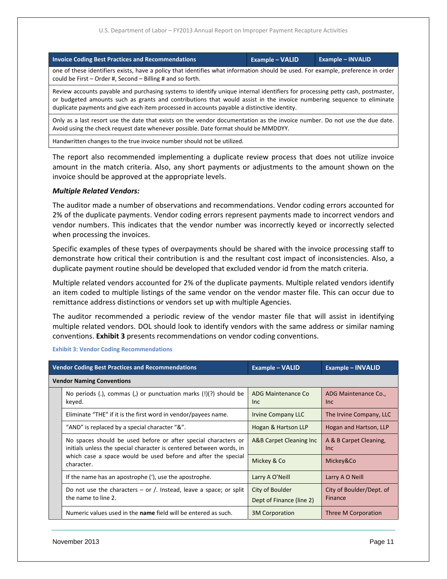| <b>Example - VALID</b>                                                                                                                                                                                                                                                                                                                                | <b>Example - INVALID</b> |  |  |
|-------------------------------------------------------------------------------------------------------------------------------------------------------------------------------------------------------------------------------------------------------------------------------------------------------------------------------------------------------|--------------------------|--|--|
| one of these identifiers exists, have a policy that identifies what information should be used. For example, preference in order<br>could be First $-$ Order #, Second $-$ Billing # and so forth.                                                                                                                                                    |                          |  |  |
| Review accounts payable and purchasing systems to identify unique internal identifiers for processing petty cash, postmaster,<br>or budgeted amounts such as grants and contributions that would assist in the invoice numbering sequence to eliminate<br>duplicate payments and give each item processed in accounts payable a distinctive identity. |                          |  |  |
| Only as a last resort use the date that exists on the vendor documentation as the invoice number. Do not use the due date.<br>Avoid using the check request date whenever possible. Date format should be MMDDYY.                                                                                                                                     |                          |  |  |
|                                                                                                                                                                                                                                                                                                                                                       |                          |  |  |

Handwritten changes to the true invoice number should not be utilized.

The report also recommended implementing a duplicate review process that does not utilize invoice amount in the match criteria. Also, any short payments or adjustments to the amount shown on the invoice should be approved at the appropriate levels.

#### *Multiple Related Vendors:*

The auditor made a number of observations and recommendations. Vendor coding errors accounted for 2% of the duplicate payments. Vendor coding errors represent payments made to incorrect vendors and vendor numbers. This indicates that the vendor number was incorrectly keyed or incorrectly selected when processing the invoices.

Specific examples of these types of overpayments should be shared with the invoice processing staff to demonstrate how critical their contribution is and the resultant cost impact of inconsistencies. Also, a duplicate payment routine should be developed that excluded vendor id from the match criteria.

Multiple related vendors accounted for 2% of the duplicate payments. Multiple related vendors identify an item coded to multiple listings of the same vendor on the vendor master file. This can occur due to remittance address distinctions or vendors set up with multiple Agencies.

The auditor recommended a periodic review of the vendor master file that will assist in identifying multiple related vendors. DOL should look to identify vendors with the same address or similar naming conventions. **Exhibit 3** presents recommendations on vendor coding conventions.

|                                  | <b>Vendor Coding Best Practices and Recommendations</b>                                                                               | <b>Example - VALID</b>                      | <b>Example - INVALID</b>            |  |  |
|----------------------------------|---------------------------------------------------------------------------------------------------------------------------------------|---------------------------------------------|-------------------------------------|--|--|
| <b>Vendor Naming Conventions</b> |                                                                                                                                       |                                             |                                     |  |  |
|                                  | No periods (.), commas (.) or punctuation marks $(!)$ (?) should be<br>keyed.                                                         | ADG Maintenance Co<br>Inc.                  | ADG Maintenance Co.,<br>Inc.        |  |  |
|                                  | Eliminate "THE" if it is the first word in vendor/payees name.                                                                        | <b>Irvine Company LLC</b>                   | The Irvine Company, LLC             |  |  |
|                                  | "AND" is replaced by a special character "&".                                                                                         | Hogan & Hartson LLP                         | Hogan and Hartson, LLP              |  |  |
|                                  | No spaces should be used before or after special characters or<br>initials unless the special character is centered between words, in | A&B Carpet Cleaning Inc                     | A & B Carpet Cleaning,<br>Inc.      |  |  |
|                                  | which case a space would be used before and after the special<br>character.                                                           | Mickey & Co                                 | Mickey&Co                           |  |  |
|                                  | If the name has an apostrophe ('), use the apostrophe.                                                                                | Larry A O'Neill                             | Larry A O Neill                     |  |  |
|                                  | Do not use the characters $-$ or /. Instead, leave a space; or split<br>the name to line 2.                                           | City of Boulder<br>Dept of Finance (line 2) | City of Boulder/Dept. of<br>Finance |  |  |
|                                  | Numeric values used in the name field will be entered as such.                                                                        | <b>3M Corporation</b>                       | Three M Corporation                 |  |  |

**Exhibit 3: Vendor Coding Recommendations**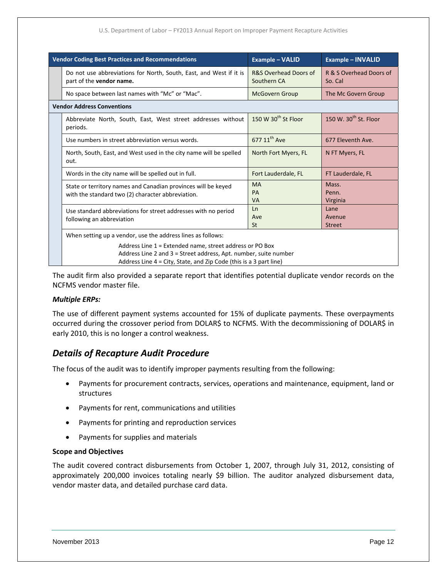#### U.S. Department of Labor – FY2013 Annual Report on Improper Payment Recapture Activities

| <b>Vendor Coding Best Practices and Recommendations</b> |                                                                                                                                                                                                    | <b>Example – VALID</b>               | <b>Example - INVALID</b>           |  |  |  |
|---------------------------------------------------------|----------------------------------------------------------------------------------------------------------------------------------------------------------------------------------------------------|--------------------------------------|------------------------------------|--|--|--|
|                                                         | Do not use abbreviations for North, South, East, and West if it is<br>part of the vendor name.                                                                                                     | R&S Overhead Doors of<br>Southern CA | R & S Overhead Doors of<br>So. Cal |  |  |  |
|                                                         | No space between last names with "Mc" or "Mac".                                                                                                                                                    | <b>McGovern Group</b>                | The Mc Govern Group                |  |  |  |
|                                                         | <b>Vendor Address Conventions</b>                                                                                                                                                                  |                                      |                                    |  |  |  |
|                                                         | Abbreviate North, South, East, West street addresses without<br>periods.                                                                                                                           | 150 W 30 <sup>th</sup> St Floor      | 150 W. 30 <sup>th</sup> St. Floor  |  |  |  |
|                                                         | Use numbers in street abbreviation versus words.                                                                                                                                                   | 677 11 <sup>th</sup> Ave             | 677 Eleventh Ave.                  |  |  |  |
|                                                         | North, South, East, and West used in the city name will be spelled<br>out.                                                                                                                         | North Fort Myers, FL                 | N FT Myers, FL                     |  |  |  |
|                                                         | Words in the city name will be spelled out in full.                                                                                                                                                | Fort Lauderdale, FL                  | FT Lauderdale, FL                  |  |  |  |
|                                                         | State or territory names and Canadian provinces will be keyed<br>with the standard two (2) character abbreviation.                                                                                 | <b>MA</b><br>PA<br><b>VA</b>         | Mass.<br>Penn.<br>Virginia         |  |  |  |
|                                                         | Use standard abbreviations for street addresses with no period<br>following an abbreviation                                                                                                        | Ln<br>Ave<br>St                      | Lane<br>Avenue<br><b>Street</b>    |  |  |  |
|                                                         | When setting up a vendor, use the address lines as follows:                                                                                                                                        |                                      |                                    |  |  |  |
|                                                         | Address Line 1 = Extended name, street address or PO Box<br>Address Line 2 and 3 = Street address, Apt. number, suite number<br>Address Line 4 = City, State, and Zip Code (this is a 3 part line) |                                      |                                    |  |  |  |

The audit firm also provided a separate report that identifies potential duplicate vendor records on the NCFMS vendor master file.

#### *Multiple ERPs:*

The use of different payment systems accounted for 15% of duplicate payments. These overpayments occurred during the crossover period from DOLAR\$ to NCFMS. With the decommissioning of DOLAR\$ in early 2010, this is no longer a control weakness.

### *Details of Recapture Audit Procedure*

The focus of the audit was to identify improper payments resulting from the following:

- Payments for procurement contracts, services, operations and maintenance, equipment, land or structures
- Payments for rent, communications and utilities
- Payments for printing and reproduction services
- Payments for supplies and materials

#### **Scope and Objectives**

The audit covered contract disbursements from October 1, 2007, through July 31, 2012, consisting of approximately 200,000 invoices totaling nearly \$9 billion. The auditor analyzed disbursement data, vendor master data, and detailed purchase card data.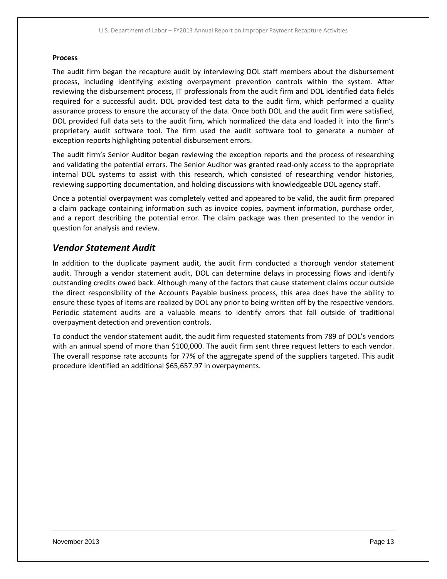#### **Process**

The audit firm began the recapture audit by interviewing DOL staff members about the disbursement process, including identifying existing overpayment prevention controls within the system. After reviewing the disbursement process, IT professionals from the audit firm and DOL identified data fields required for a successful audit. DOL provided test data to the audit firm, which performed a quality assurance process to ensure the accuracy of the data. Once both DOL and the audit firm were satisfied, DOL provided full data sets to the audit firm, which normalized the data and loaded it into the firm's proprietary audit software tool. The firm used the audit software tool to generate a number of exception reports highlighting potential disbursement errors.

The audit firm's Senior Auditor began reviewing the exception reports and the process of researching and validating the potential errors. The Senior Auditor was granted read‐only access to the appropriate internal DOL systems to assist with this research, which consisted of researching vendor histories, reviewing supporting documentation, and holding discussions with knowledgeable DOL agency staff.

Once a potential overpayment was completely vetted and appeared to be valid, the audit firm prepared a claim package containing information such as invoice copies, payment information, purchase order, and a report describing the potential error. The claim package was then presented to the vendor in question for analysis and review.

### *Vendor Statement Audit*

In addition to the duplicate payment audit, the audit firm conducted a thorough vendor statement audit. Through a vendor statement audit, DOL can determine delays in processing flows and identify outstanding credits owed back. Although many of the factors that cause statement claims occur outside the direct responsibility of the Accounts Payable business process, this area does have the ability to ensure these types of items are realized by DOL any prior to being written off by the respective vendors. Periodic statement audits are a valuable means to identify errors that fall outside of traditional overpayment detection and prevention controls.

To conduct the vendor statement audit, the audit firm requested statements from 789 of DOL's vendors with an annual spend of more than \$100,000. The audit firm sent three request letters to each vendor. The overall response rate accounts for 77% of the aggregate spend of the suppliers targeted. This audit procedure identified an additional \$65,657.97 in overpayments.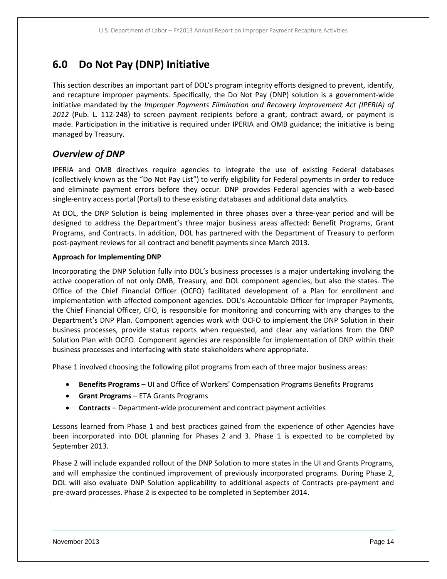## **6.0 Do Not Pay (DNP) Initiative**

This section describes an important part of DOL's program integrity efforts designed to prevent, identify, and recapture improper payments. Specifically, the Do Not Pay (DNP) solution is a government‐wide initiative mandated by the *Improper Payments Elimination and Recovery Improvement Act (IPERIA) of 2012* (Pub. L. 112‐248) to screen payment recipients before a grant, contract award, or payment is made. Participation in the initiative is required under IPERIA and OMB guidance; the initiative is being managed by Treasury.

### *Overview of DNP*

IPERIA and OMB directives require agencies to integrate the use of existing Federal databases (collectively known as the "Do Not Pay List") to verify eligibility for Federal payments in order to reduce and eliminate payment errors before they occur. DNP provides Federal agencies with a web-based single‐entry access portal (Portal) to these existing databases and additional data analytics.

At DOL, the DNP Solution is being implemented in three phases over a three-year period and will be designed to address the Department's three major business areas affected: Benefit Programs, Grant Programs, and Contracts. In addition, DOL has partnered with the Department of Treasury to perform post‐payment reviews for all contract and benefit payments since March 2013.

#### **Approach for Implementing DNP**

Incorporating the DNP Solution fully into DOL's business processes is a major undertaking involving the active cooperation of not only OMB, Treasury, and DOL component agencies, but also the states. The Office of the Chief Financial Officer (OCFO) facilitated development of a Plan for enrollment and implementation with affected component agencies. DOL's Accountable Officer for Improper Payments, the Chief Financial Officer, CFO, is responsible for monitoring and concurring with any changes to the Department's DNP Plan. Component agencies work with OCFO to implement the DNP Solution in their business processes, provide status reports when requested, and clear any variations from the DNP Solution Plan with OCFO. Component agencies are responsible for implementation of DNP within their business processes and interfacing with state stakeholders where appropriate.

Phase 1 involved choosing the following pilot programs from each of three major business areas:

- **Benefits Programs** UI and Office of Workers' Compensation Programs Benefits Programs
- **Grant Programs** ETA Grants Programs
- **Contracts** Department‐wide procurement and contract payment activities

Lessons learned from Phase 1 and best practices gained from the experience of other Agencies have been incorporated into DOL planning for Phases 2 and 3. Phase 1 is expected to be completed by September 2013.

Phase 2 will include expanded rollout of the DNP Solution to more states in the UI and Grants Programs, and will emphasize the continued improvement of previously incorporated programs. During Phase 2, DOL will also evaluate DNP Solution applicability to additional aspects of Contracts pre‐payment and pre‐award processes. Phase 2 is expected to be completed in September 2014.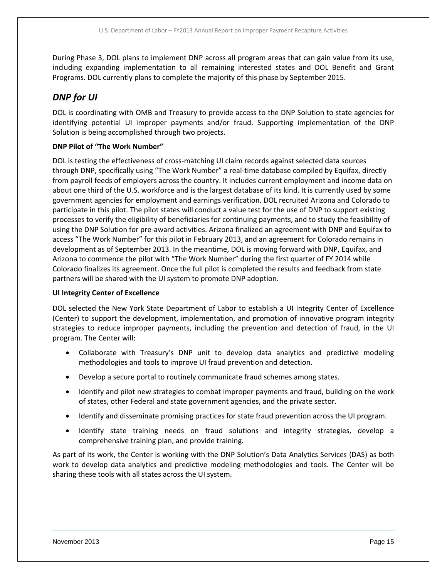During Phase 3, DOL plans to implement DNP across all program areas that can gain value from its use, including expanding implementation to all remaining interested states and DOL Benefit and Grant Programs. DOL currently plans to complete the majority of this phase by September 2015.

### *DNP for UI*

DOL is coordinating with OMB and Treasury to provide access to the DNP Solution to state agencies for identifying potential UI improper payments and/or fraud. Supporting implementation of the DNP Solution is being accomplished through two projects.

#### **DNP Pilot of "The Work Number"**

DOL is testing the effectiveness of cross-matching UI claim records against selected data sources through DNP, specifically using "The Work Number" a real‐time database compiled by Equifax, directly from payroll feeds of employers across the country. It includes current employment and income data on about one third of the U.S. workforce and is the largest database of its kind. It is currently used by some government agencies for employment and earnings verification. DOL recruited Arizona and Colorado to participate in this pilot. The pilot states will conduct a value test for the use of DNP to support existing processes to verify the eligibility of beneficiaries for continuing payments, and to study the feasibility of using the DNP Solution for pre‐award activities. Arizona finalized an agreement with DNP and Equifax to access "The Work Number" for this pilot in February 2013, and an agreement for Colorado remains in development as of September 2013. In the meantime, DOL is moving forward with DNP, Equifax, and Arizona to commence the pilot with "The Work Number" during the first quarter of FY 2014 while Colorado finalizes its agreement. Once the full pilot is completed the results and feedback from state partners will be shared with the UI system to promote DNP adoption.

#### **UI Integrity Center of Excellence**

DOL selected the New York State Department of Labor to establish a UI Integrity Center of Excellence (Center) to support the development, implementation, and promotion of innovative program integrity strategies to reduce improper payments, including the prevention and detection of fraud, in the UI program. The Center will:

- Collaborate with Treasury's DNP unit to develop data analytics and predictive modeling methodologies and tools to improve UI fraud prevention and detection.
- Develop a secure portal to routinely communicate fraud schemes among states.
- Identify and pilot new strategies to combat improper payments and fraud, building on the work of states, other Federal and state government agencies, and the private sector.
- Identify and disseminate promising practices for state fraud prevention across the UI program.
- Identify state training needs on fraud solutions and integrity strategies, develop a comprehensive training plan, and provide training.

As part of its work, the Center is working with the DNP Solution's Data Analytics Services (DAS) as both work to develop data analytics and predictive modeling methodologies and tools. The Center will be sharing these tools with all states across the UI system.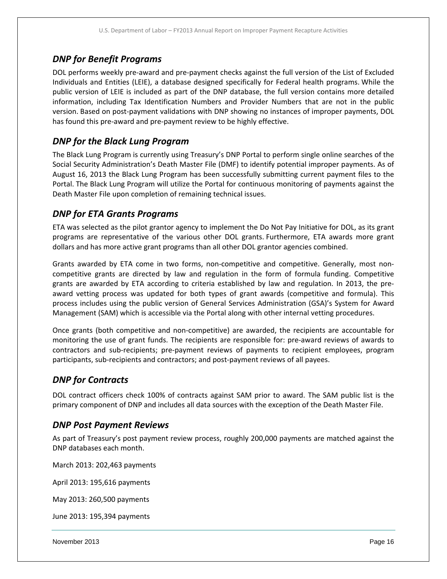## *DNP for Benefit Programs*

DOL performs weekly pre‐award and pre‐payment checks against the full version of the List of Excluded Individuals and Entities (LEIE), a database designed specifically for Federal health programs. While the public version of LEIE is included as part of the DNP database, the full version contains more detailed information, including Tax Identification Numbers and Provider Numbers that are not in the public version. Based on post‐payment validations with DNP showing no instances of improper payments, DOL has found this pre-award and pre-payment review to be highly effective.

## *DNP for the Black Lung Program*

The Black Lung Program is currently using Treasury's DNP Portal to perform single online searches of the Social Security Administration's Death Master File (DMF) to identify potential improper payments. As of August 16, 2013 the Black Lung Program has been successfully submitting current payment files to the Portal. The Black Lung Program will utilize the Portal for continuous monitoring of payments against the Death Master File upon completion of remaining technical issues.

## *DNP for ETA Grants Programs*

ETA was selected as the pilot grantor agency to implement the Do Not Pay Initiative for DOL, as its grant programs are representative of the various other DOL grants. Furthermore, ETA awards more grant dollars and has more active grant programs than all other DOL grantor agencies combined.

Grants awarded by ETA come in two forms, non‐competitive and competitive. Generally, most non‐ competitive grants are directed by law and regulation in the form of formula funding. Competitive grants are awarded by ETA according to criteria established by law and regulation. In 2013, the pre‐ award vetting process was updated for both types of grant awards (competitive and formula). This process includes using the public version of General Services Administration (GSA)'s System for Award Management (SAM) which is accessible via the Portal along with other internal vetting procedures.

Once grants (both competitive and non‐competitive) are awarded, the recipients are accountable for monitoring the use of grant funds. The recipients are responsible for: pre‐award reviews of awards to contractors and sub-recipients; pre-payment reviews of payments to recipient employees, program participants, sub‐recipients and contractors; and post‐payment reviews of all payees.

### *DNP for Contracts*

DOL contract officers check 100% of contracts against SAM prior to award. The SAM public list is the primary component of DNP and includes all data sources with the exception of the Death Master File.

### *DNP Post Payment Reviews*

As part of Treasury's post payment review process, roughly 200,000 payments are matched against the DNP databases each month.

March 2013: 202,463 payments

April 2013: 195,616 payments

May 2013: 260,500 payments

June 2013: 195,394 payments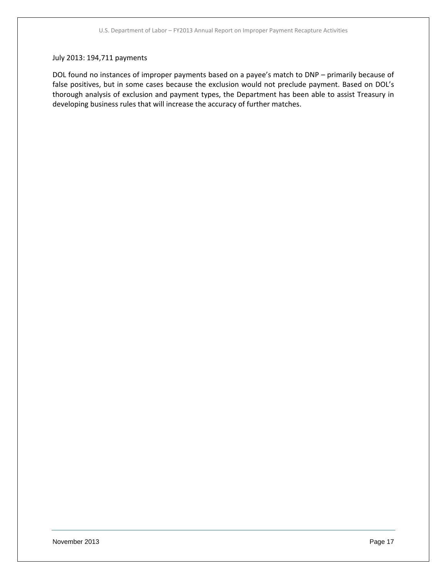#### July 2013: 194,711 payments

DOL found no instances of improper payments based on a payee's match to DNP – primarily because of false positives, but in some cases because the exclusion would not preclude payment. Based on DOL's thorough analysis of exclusion and payment types, the Department has been able to assist Treasury in developing business rules that will increase the accuracy of further matches.